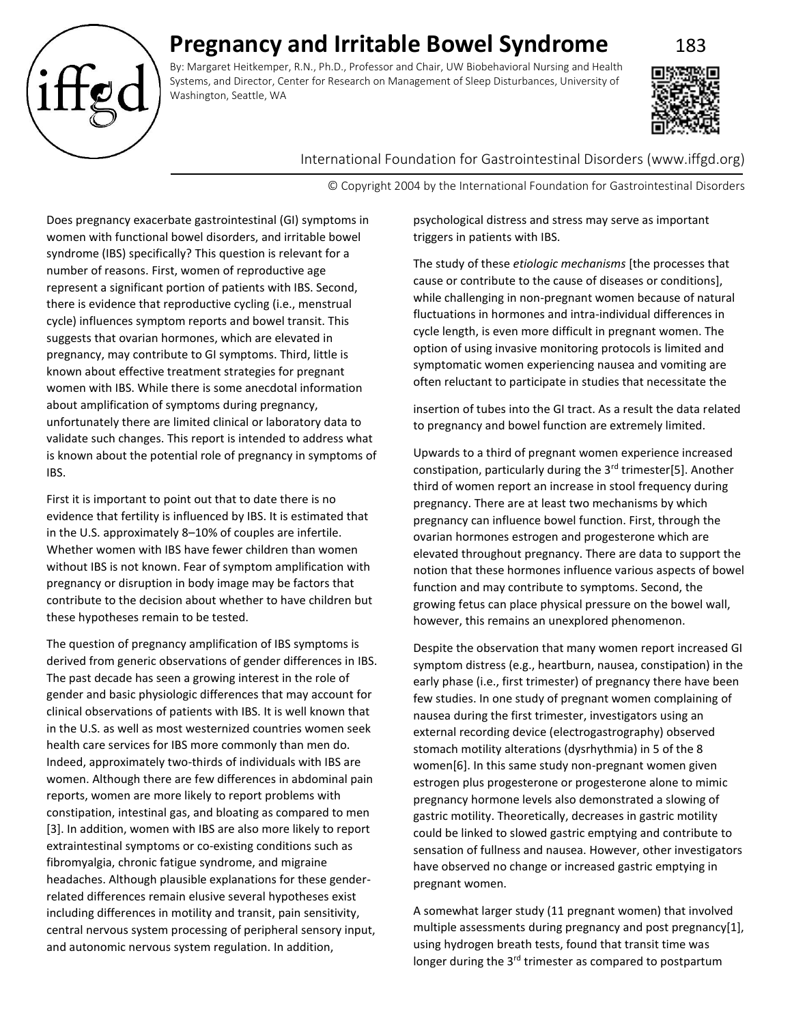# **Pregnancy and Irritable Bowel Syndrome** 183

By: Margaret Heitkemper, R.N., Ph.D., Professor and Chair, UW Biobehavioral Nursing and Health Systems, and Director, Center for Research on Management of Sleep Disturbances, University of Washington, Seattle, WA



# International Foundation for Gastrointestinal Disorders (www.iffgd.org)

© Copyright 2004 by the International Foundation for Gastrointestinal Disorders

Does pregnancy exacerbate gastrointestinal (GI) symptoms in women with functional bowel disorders, and irritable bowel syndrome (IBS) specifically? This question is relevant for a number of reasons. First, women of reproductive age represent a significant portion of patients with IBS. Second, there is evidence that reproductive cycling (i.e., menstrual cycle) influences symptom reports and bowel transit. This suggests that ovarian hormones, which are elevated in pregnancy, may contribute to GI symptoms. Third, little is known about effective treatment strategies for pregnant women with IBS. While there is some anecdotal information about amplification of symptoms during pregnancy, unfortunately there are limited clinical or laboratory data to validate such changes. This report is intended to address what is known about the potential role of pregnancy in symptoms of IBS.

First it is important to point out that to date there is no evidence that fertility is influenced by IBS. It is estimated that in the U.S. approximately 8–10% of couples are infertile. Whether women with IBS have fewer children than women without IBS is not known. Fear of symptom amplification with pregnancy or disruption in body image may be factors that contribute to the decision about whether to have children but these hypotheses remain to be tested.

The question of pregnancy amplification of IBS symptoms is derived from generic observations of gender differences in IBS. The past decade has seen a growing interest in the role of gender and basic physiologic differences that may account for clinical observations of patients with IBS. It is well known that in the U.S. as well as most westernized countries women seek health care services for IBS more commonly than men do. Indeed, approximately two-thirds of individuals with IBS are women. Although there are few differences in abdominal pain reports, women are more likely to report problems with constipation, intestinal gas, and bloating as compared to men [3]. In addition, women with IBS are also more likely to report extraintestinal symptoms or co-existing conditions such as fibromyalgia, chronic fatigue syndrome, and migraine headaches. Although plausible explanations for these genderrelated differences remain elusive several hypotheses exist including differences in motility and transit, pain sensitivity, central nervous system processing of peripheral sensory input, and autonomic nervous system regulation. In addition,

psychological distress and stress may serve as important triggers in patients with IBS.

The study of these *etiologic mechanisms* [the processes that cause or contribute to the cause of diseases or conditions], while challenging in non-pregnant women because of natural fluctuations in hormones and intra-individual differences in cycle length, is even more difficult in pregnant women. The option of using invasive monitoring protocols is limited and symptomatic women experiencing nausea and vomiting are often reluctant to participate in studies that necessitate the

insertion of tubes into the GI tract. As a result the data related to pregnancy and bowel function are extremely limited.

Upwards to a third of pregnant women experience increased constipation, particularly during the 3<sup>rd</sup> trimester[5]. Another third of women report an increase in stool frequency during pregnancy. There are at least two mechanisms by which pregnancy can influence bowel function. First, through the ovarian hormones estrogen and progesterone which are elevated throughout pregnancy. There are data to support the notion that these hormones influence various aspects of bowel function and may contribute to symptoms. Second, the growing fetus can place physical pressure on the bowel wall, however, this remains an unexplored phenomenon.

Despite the observation that many women report increased GI symptom distress (e.g., heartburn, nausea, constipation) in the early phase (i.e., first trimester) of pregnancy there have been few studies. In one study of pregnant women complaining of nausea during the first trimester, investigators using an external recording device (electrogastrography) observed stomach motility alterations (dysrhythmia) in 5 of the 8 women[6]. In this same study non-pregnant women given estrogen plus progesterone or progesterone alone to mimic pregnancy hormone levels also demonstrated a slowing of gastric motility. Theoretically, decreases in gastric motility could be linked to slowed gastric emptying and contribute to sensation of fullness and nausea. However, other investigators have observed no change or increased gastric emptying in pregnant women.

A somewhat larger study (11 pregnant women) that involved multiple assessments during pregnancy and post pregnancy[1], using hydrogen breath tests, found that transit time was longer during the 3<sup>rd</sup> trimester as compared to postpartum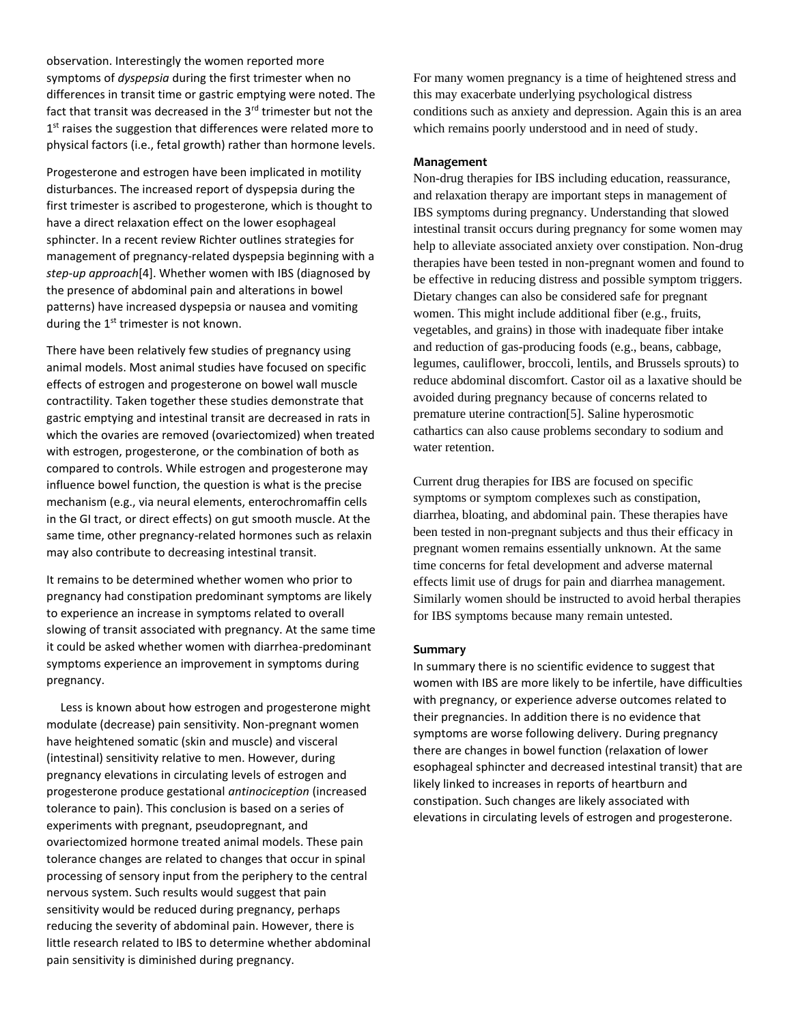observation. Interestingly the women reported more symptoms of *dyspepsia* during the first trimester when no differences in transit time or gastric emptying were noted. The fact that transit was decreased in the  $3<sup>rd</sup>$  trimester but not the 1<sup>st</sup> raises the suggestion that differences were related more to physical factors (i.e., fetal growth) rather than hormone levels.

Progesterone and estrogen have been implicated in motility disturbances. The increased report of dyspepsia during the first trimester is ascribed to progesterone, which is thought to have a direct relaxation effect on the lower esophageal sphincter. In a recent review Richter outlines strategies for management of pregnancy-related dyspepsia beginning with a *step-up approach*[4]. Whether women with IBS (diagnosed by the presence of abdominal pain and alterations in bowel patterns) have increased dyspepsia or nausea and vomiting during the  $1<sup>st</sup>$  trimester is not known.

There have been relatively few studies of pregnancy using animal models. Most animal studies have focused on specific effects of estrogen and progesterone on bowel wall muscle contractility. Taken together these studies demonstrate that gastric emptying and intestinal transit are decreased in rats in which the ovaries are removed (ovariectomized) when treated with estrogen, progesterone, or the combination of both as compared to controls. While estrogen and progesterone may influence bowel function, the question is what is the precise mechanism (e.g., via neural elements, enterochromaffin cells in the GI tract, or direct effects) on gut smooth muscle. At the same time, other pregnancy-related hormones such as relaxin may also contribute to decreasing intestinal transit.

It remains to be determined whether women who prior to pregnancy had constipation predominant symptoms are likely to experience an increase in symptoms related to overall slowing of transit associated with pregnancy. At the same time it could be asked whether women with diarrhea-predominant symptoms experience an improvement in symptoms during pregnancy.

Less is known about how estrogen and progesterone might modulate (decrease) pain sensitivity. Non-pregnant women have heightened somatic (skin and muscle) and visceral (intestinal) sensitivity relative to men. However, during pregnancy elevations in circulating levels of estrogen and progesterone produce gestational *antinociception* (increased tolerance to pain). This conclusion is based on a series of experiments with pregnant, pseudopregnant, and ovariectomized hormone treated animal models. These pain tolerance changes are related to changes that occur in spinal processing of sensory input from the periphery to the central nervous system. Such results would suggest that pain sensitivity would be reduced during pregnancy, perhaps reducing the severity of abdominal pain. However, there is little research related to IBS to determine whether abdominal pain sensitivity is diminished during pregnancy.

For many women pregnancy is a time of heightened stress and this may exacerbate underlying psychological distress conditions such as anxiety and depression. Again this is an area which remains poorly understood and in need of study.

## **Management**

Non-drug therapies for IBS including education, reassurance, and relaxation therapy are important steps in management of IBS symptoms during pregnancy. Understanding that slowed intestinal transit occurs during pregnancy for some women may help to alleviate associated anxiety over constipation. Non-drug therapies have been tested in non-pregnant women and found to be effective in reducing distress and possible symptom triggers. Dietary changes can also be considered safe for pregnant women. This might include additional fiber (e.g., fruits, vegetables, and grains) in those with inadequate fiber intake and reduction of gas-producing foods (e.g., beans, cabbage, legumes, cauliflower, broccoli, lentils, and Brussels sprouts) to reduce abdominal discomfort. Castor oil as a laxative should be avoided during pregnancy because of concerns related to premature uterine contraction[5]. Saline hyperosmotic cathartics can also cause problems secondary to sodium and water retention.

Current drug therapies for IBS are focused on specific symptoms or symptom complexes such as constipation, diarrhea, bloating, and abdominal pain. These therapies have been tested in non-pregnant subjects and thus their efficacy in pregnant women remains essentially unknown. At the same time concerns for fetal development and adverse maternal effects limit use of drugs for pain and diarrhea management. Similarly women should be instructed to avoid herbal therapies for IBS symptoms because many remain untested.

## **Summary**

In summary there is no scientific evidence to suggest that women with IBS are more likely to be infertile, have difficulties with pregnancy, or experience adverse outcomes related to their pregnancies. In addition there is no evidence that symptoms are worse following delivery. During pregnancy there are changes in bowel function (relaxation of lower esophageal sphincter and decreased intestinal transit) that are likely linked to increases in reports of heartburn and constipation. Such changes are likely associated with elevations in circulating levels of estrogen and progesterone.